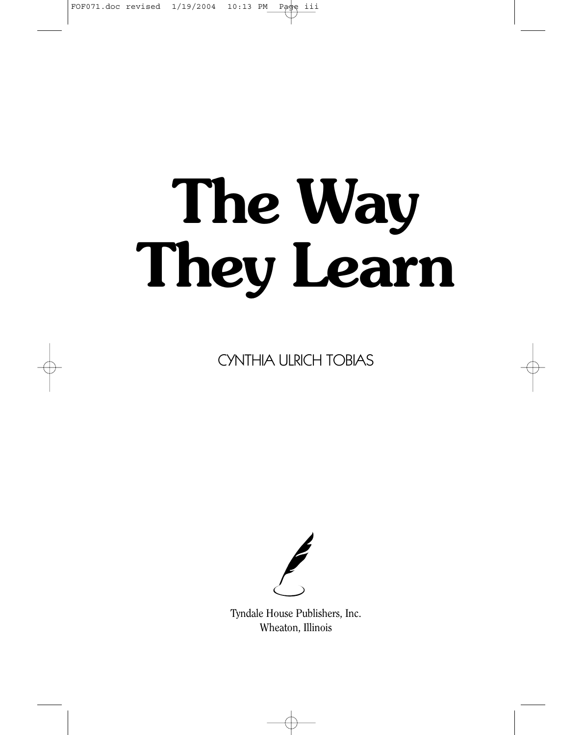# **The Way They Learn**

CYNTHIA ULRICH TOBIAS



Tyndale House Publishers, Inc. Wheaton, Illinois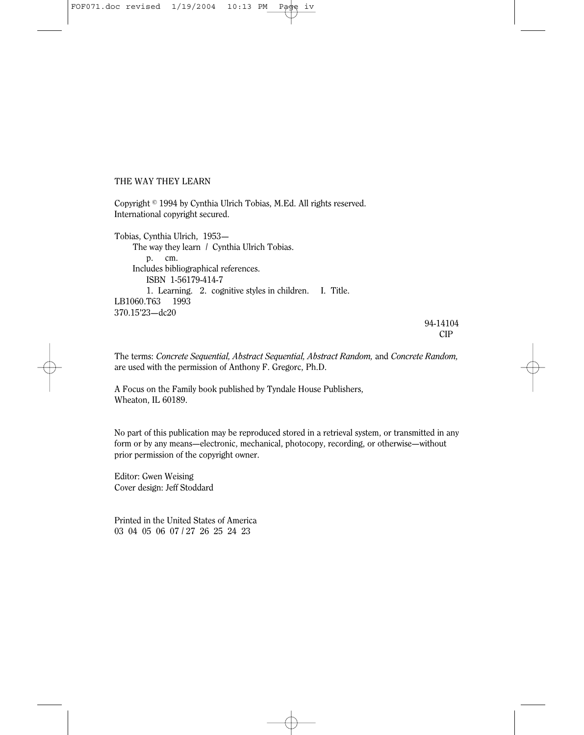#### THE WAY THEY LEARN

Copyright © 1994 by Cynthia Ulrich Tobias, M.Ed. All rights reserved. International copyright secured.

Tobias, Cynthia Ulrich, 1953— The way they learn / Cynthia Ulrich Tobias. p. cm. Includes bibliographical references. ISBN 1-56179-414-7 1. Learning. 2. cognitive styles in children. I. Title. LB1060.T63 1993 370.15'23—dc20

94-14104 CIP

The terms: Concrete Sequential, Abstract Sequential, Abstract Random, and Concrete Random, are used with the permission of Anthony F. Gregorc, Ph.D.

A Focus on the Family book published by Tyndale House Publishers, Wheaton, IL 60189.

No part of this publication may be reproduced stored in a retrieval system, or transmitted in any form or by any means—electronic, mechanical, photocopy, recording, or otherwise—without prior permission of the copyright owner.

Editor: Gwen Weising Cover design: Jeff Stoddard

Printed in the United States of America 03 04 05 06 07 / 27 26 25 24 23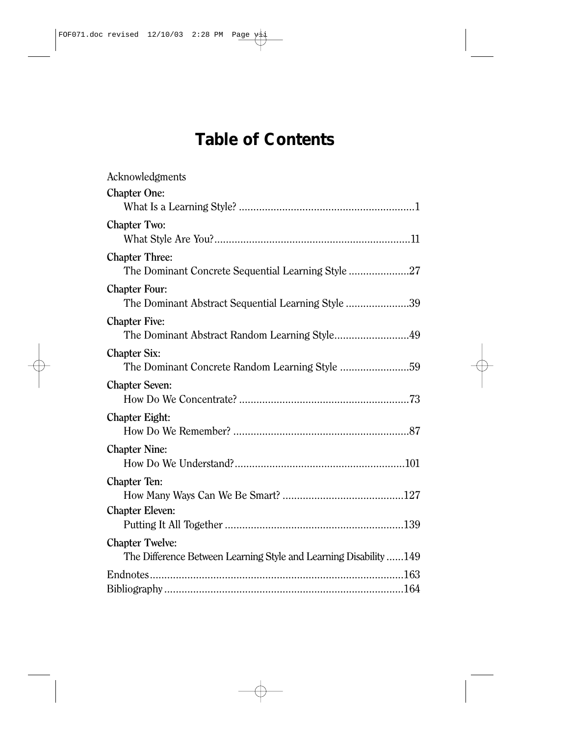# **Table of Contents**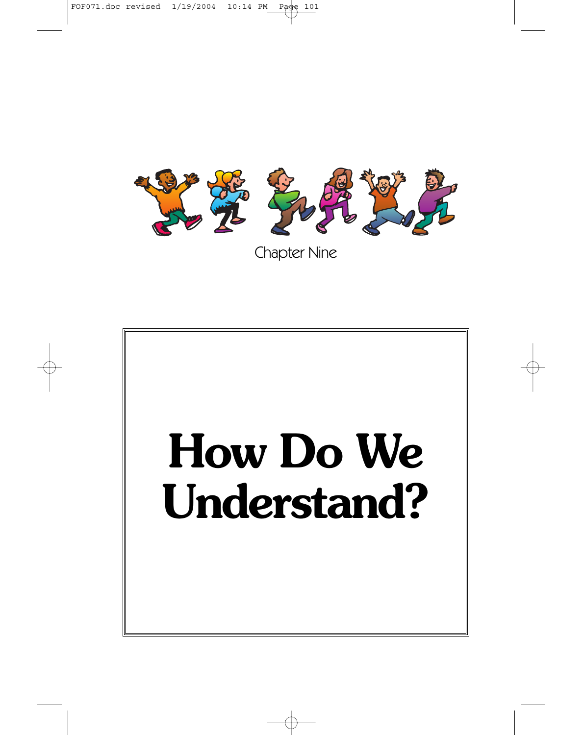

Chapter Nine

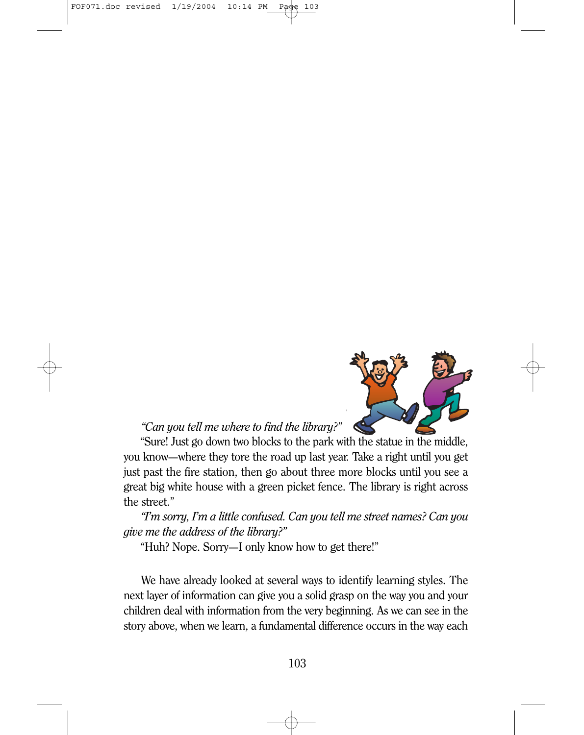

"Can you tell me where to find the library?"

"Sure! Just go down two blocks to the park with the statue in the middle, you know—where they tore the road up last year. Take a right until you get just past the fire station, then go about three more blocks until you see a great big white house with a green picket fence. The library is right across the street."

"I'm sorry, I'm a little confused. Can you tell me street names? Can you give me the address of the library?"

"Huh? Nope. Sorry—I only know how to get there!"

We have already looked at several ways to identify learning styles. The next layer of information can give you a solid grasp on the way you and your children deal with information from the very beginning. As we can see in the story above, when we learn, a fundamental difference occurs in the way each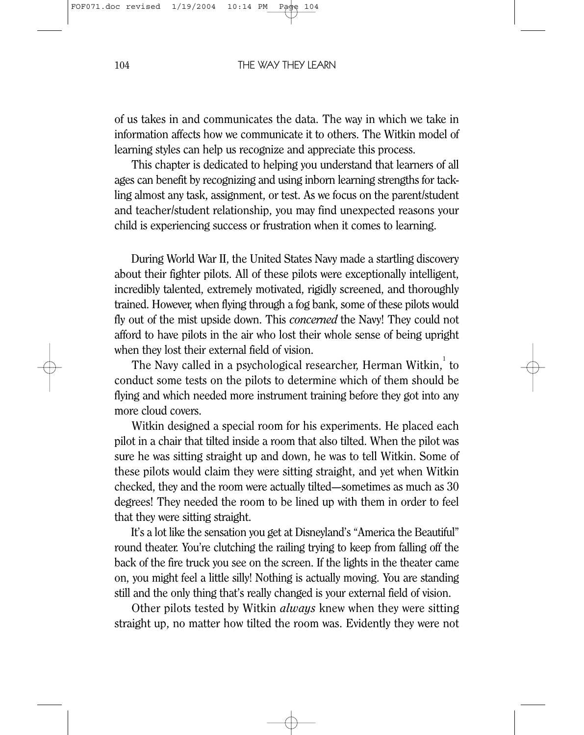of us takes in and communicates the data. The way in which we take in information affects how we communicate it to others. The Witkin model of learning styles can help us recognize and appreciate this process.

This chapter is dedicated to helping you understand that learners of all ages can benefit by recognizing and using inborn learning strengths for tackling almost any task, assignment, or test. As we focus on the parent/student and teacher/student relationship, you may find unexpected reasons your child is experiencing success or frustration when it comes to learning.

During World War II, the United States Navy made a startling discovery about their fighter pilots. All of these pilots were exceptionally intelligent, incredibly talented, extremely motivated, rigidly screened, and thoroughly trained. However, when flying through a fog bank, some of these pilots would fly out of the mist upside down. This *concerned* the Navy! They could not afford to have pilots in the air who lost their whole sense of being upright when they lost their external field of vision.

The Navy called in a psychological researcher, Herman Witkin,  $\frac{1}{1}$  to conduct some tests on the pilots to determine which of them should be flying and which needed more instrument training before they got into any more cloud covers.

Witkin designed a special room for his experiments. He placed each pilot in a chair that tilted inside a room that also tilted. When the pilot was sure he was sitting straight up and down, he was to tell Witkin. Some of these pilots would claim they were sitting straight, and yet when Witkin checked, they and the room were actually tilted—sometimes as much as 30 degrees! They needed the room to be lined up with them in order to feel that they were sitting straight.

It's a lot like the sensation you get at Disneyland's "America the Beautiful" round theater. You're clutching the railing trying to keep from falling off the back of the fire truck you see on the screen. If the lights in the theater came on, you might feel a little silly! Nothing is actually moving. You are standing still and the only thing that's really changed is your external field of vision.

Other pilots tested by Witkin always knew when they were sitting straight up, no matter how tilted the room was. Evidently they were not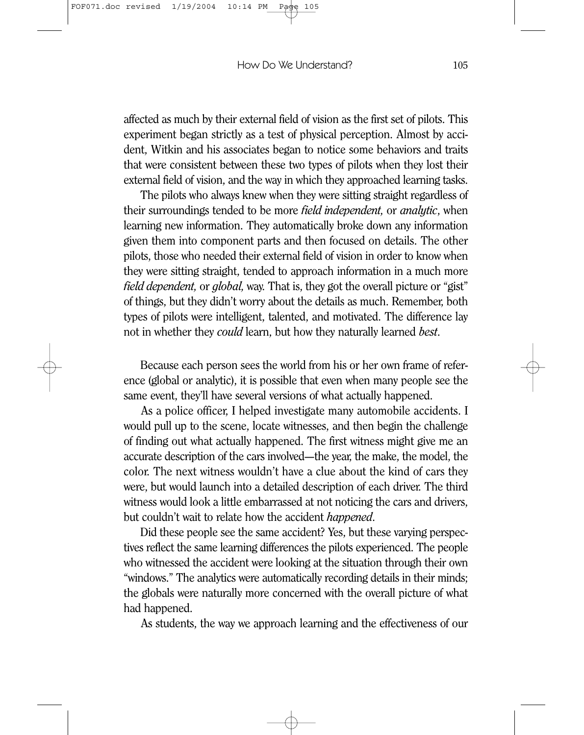affected as much by their external field of vision as the first set of pilots. This experiment began strictly as a test of physical perception. Almost by accident, Witkin and his associates began to notice some behaviors and traits that were consistent between these two types of pilots when they lost their external field of vision, and the way in which they approached learning tasks.

The pilots who always knew when they were sitting straight regardless of their surroundings tended to be more *field independent*, or *analytic*, when learning new information. They automatically broke down any information given them into component parts and then focused on details. The other pilots, those who needed their external field of vision in order to know when they were sitting straight, tended to approach information in a much more field dependent, or global, way. That is, they got the overall picture or "gist" of things, but they didn't worry about the details as much. Remember, both types of pilots were intelligent, talented, and motivated. The difference lay not in whether they could learn, but how they naturally learned best.

Because each person sees the world from his or her own frame of reference (global or analytic), it is possible that even when many people see the same event, they'll have several versions of what actually happened.

As a police officer, I helped investigate many automobile accidents. I would pull up to the scene, locate witnesses, and then begin the challenge of finding out what actually happened. The first witness might give me an accurate description of the cars involved—the year, the make, the model, the color. The next witness wouldn't have a clue about the kind of cars they were, but would launch into a detailed description of each driver. The third witness would look a little embarrassed at not noticing the cars and drivers, but couldn't wait to relate how the accident *happened*.

Did these people see the same accident? Yes, but these varying perspectives reflect the same learning differences the pilots experienced. The people who witnessed the accident were looking at the situation through their own "windows." The analytics were automatically recording details in their minds; the globals were naturally more concerned with the overall picture of what had happened.

As students, the way we approach learning and the effectiveness of our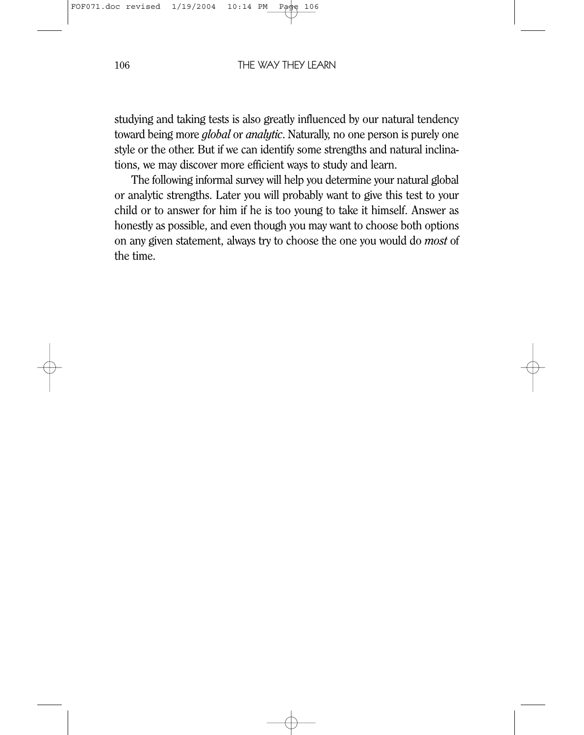studying and taking tests is also greatly influenced by our natural tendency toward being more *global* or *analytic*. Naturally, no one person is purely one style or the other. But if we can identify some strengths and natural inclinations, we may discover more efficient ways to study and learn.

The following informal survey will help you determine your natural global or analytic strengths. Later you will probably want to give this test to your child or to answer for him if he is too young to take it himself. Answer as honestly as possible, and even though you may want to choose both options on any given statement, always try to choose the one you would do most of the time.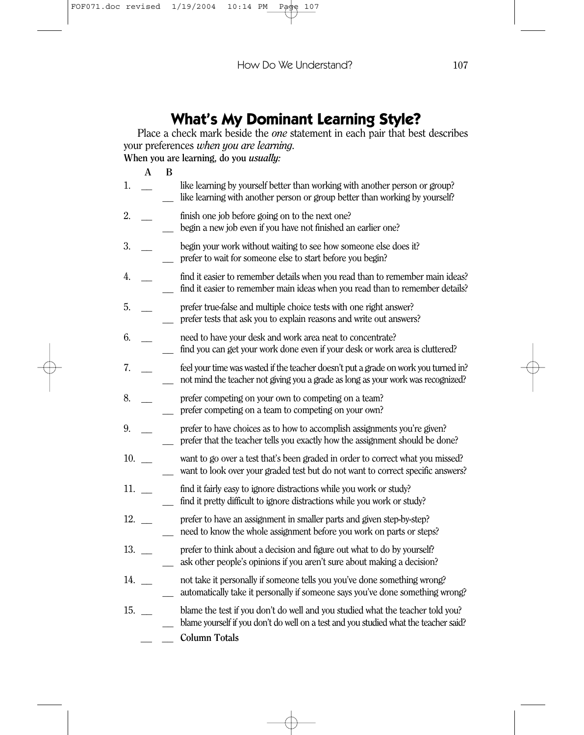# **What's My Dominant Learning Style?**

Place a check mark beside the *one* statement in each pair that best describes your preferences when you are learning. When you are learning, do you *usually:* 

|     | A | B |                                                                                                                                                                         |
|-----|---|---|-------------------------------------------------------------------------------------------------------------------------------------------------------------------------|
| 1.  |   |   | like learning by yourself better than working with another person or group?<br>like learning with another person or group better than working by yourself?              |
| 2.  |   |   | finish one job before going on to the next one?<br>begin a new job even if you have not finished an earlier one?                                                        |
| 3.  |   |   | begin your work without waiting to see how someone else does it?<br>prefer to wait for someone else to start before you begin?                                          |
| 4.  |   |   | find it easier to remember details when you read than to remember main ideas?<br>find it easier to remember main ideas when you read than to remember details?          |
| 5.  |   |   | prefer true-false and multiple choice tests with one right answer?<br>prefer tests that ask you to explain reasons and write out answers?                               |
| 6.  |   |   | need to have your desk and work area neat to concentrate?<br>find you can get your work done even if your desk or work area is cluttered?                               |
| 7.  |   |   | feel your time was wasted if the teacher doesn't put a grade on work you turned in?<br>not mind the teacher not giving you a grade as long as your work was recognized? |
| 8.  |   |   | prefer competing on your own to competing on a team?<br>prefer competing on a team to competing on your own?                                                            |
| 9.  |   |   | prefer to have choices as to how to accomplish assignments you're given?<br>prefer that the teacher tells you exactly how the assignment should be done?                |
| 10. |   |   | want to go over a test that's been graded in order to correct what you missed?<br>want to look over your graded test but do not want to correct specific answers?       |
| 11. |   |   | find it fairly easy to ignore distractions while you work or study?<br>find it pretty difficult to ignore distractions while you work or study?                         |
| 12. |   |   | prefer to have an assignment in smaller parts and given step-by-step?<br>need to know the whole assignment before you work on parts or steps?                           |
| 13. |   |   | prefer to think about a decision and figure out what to do by yourself?<br>ask other people's opinions if you aren't sure about making a decision?                      |
| 14. |   |   | not take it personally if someone tells you you've done something wrong?<br>automatically take it personally if someone says you've done something wrong?               |
| 15. |   |   | blame the test if you don't do well and you studied what the teacher told you?<br>blame yourself if you don't do well on a test and you studied what the teacher said?  |
|     |   |   | <b>Column Totals</b>                                                                                                                                                    |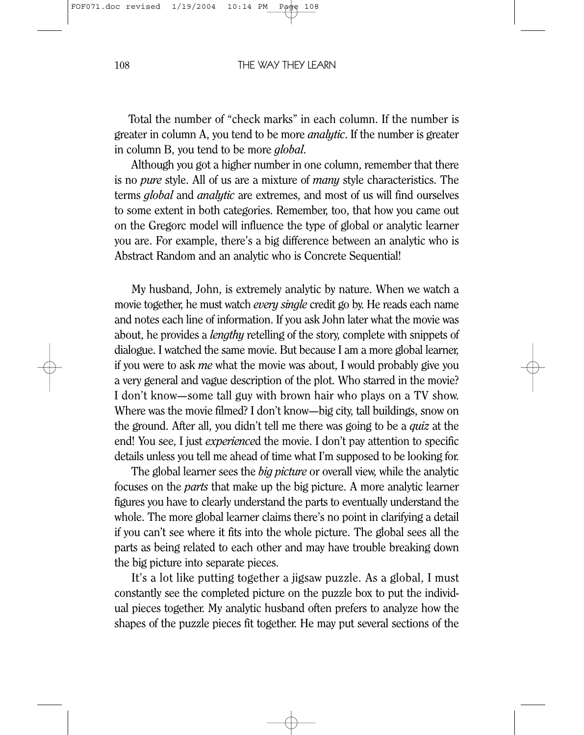Total the number of "check marks" in each column. If the number is greater in column A, you tend to be more analytic. If the number is greater in column B, you tend to be more global.

Although you got a higher number in one column, remember that there is no pure style. All of us are a mixture of many style characteristics. The terms global and analytic are extremes, and most of us will find ourselves to some extent in both categories. Remember, too, that how you came out on the Gregorc model will influence the type of global or analytic learner you are. For example, there's a big difference between an analytic who is Abstract Random and an analytic who is Concrete Sequential!

My husband, John, is extremely analytic by nature. When we watch a movie together, he must watch every single credit go by. He reads each name and notes each line of information. If you ask John later what the movie was about, he provides a lengthy retelling of the story, complete with snippets of dialogue. I watched the same movie. But because I am a more global learner, if you were to ask me what the movie was about, I would probably give you a very general and vague description of the plot. Who starred in the movie? I don't know—some tall guy with brown hair who plays on a TV show. Where was the movie filmed? I don't know—big city, tall buildings, snow on the ground. After all, you didn't tell me there was going to be a quiz at the end! You see, I just *experience*d the movie. I don't pay attention to specific details unless you tell me ahead of time what I'm supposed to be looking for.

The global learner sees the *big picture* or overall view, while the analytic focuses on the parts that make up the big picture. A more analytic learner figures you have to clearly understand the parts to eventually understand the whole. The more global learner claims there's no point in clarifying a detail if you can't see where it fits into the whole picture. The global sees all the parts as being related to each other and may have trouble breaking down the big picture into separate pieces.

It's a lot like putting together a jigsaw puzzle. As a global, I must constantly see the completed picture on the puzzle box to put the individual pieces together. My analytic husband often prefers to analyze how the shapes of the puzzle pieces fit together. He may put several sections of the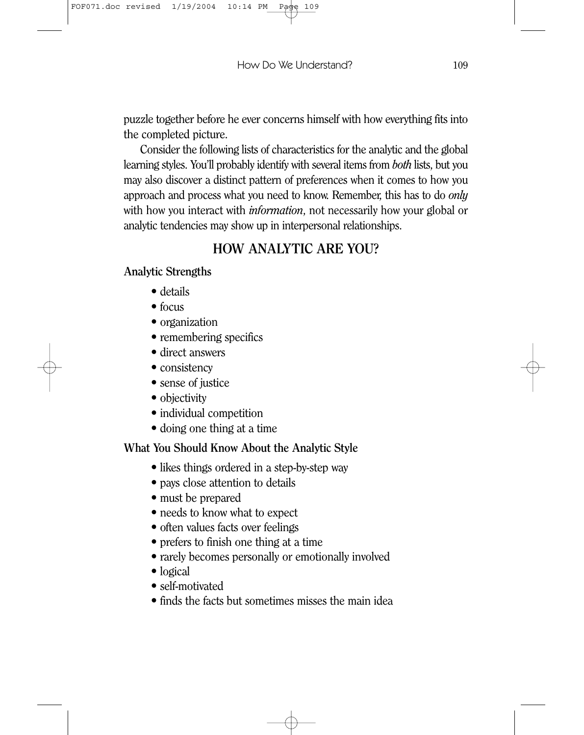puzzle together before he ever concerns himself with how everything fits into the completed picture.

Consider the following lists of characteristics for the analytic and the global learning styles. You'll probably identify with several items from both lists, but you may also discover a distinct pattern of preferences when it comes to how you approach and process what you need to know. Remember, this has to do only with how you interact with *information*, not necessarily how your global or analytic tendencies may show up in interpersonal relationships.

# HOW ANALYTIC ARE YOU?

# Analytic Strengths

- details
- $•$  focus
- organization
- remembering specifics
- direct answers
- consistency
- sense of justice
- objectivity
- individual competition
- doing one thing at a time

# What You Should Know About the Analytic Style

- likes things ordered in a step-by-step way
- pays close attention to details
- must be prepared
- needs to know what to expect
- often values facts over feelings
- prefers to finish one thing at a time
- rarely becomes personally or emotionally involved
- logical
- self-motivated
- finds the facts but sometimes misses the main idea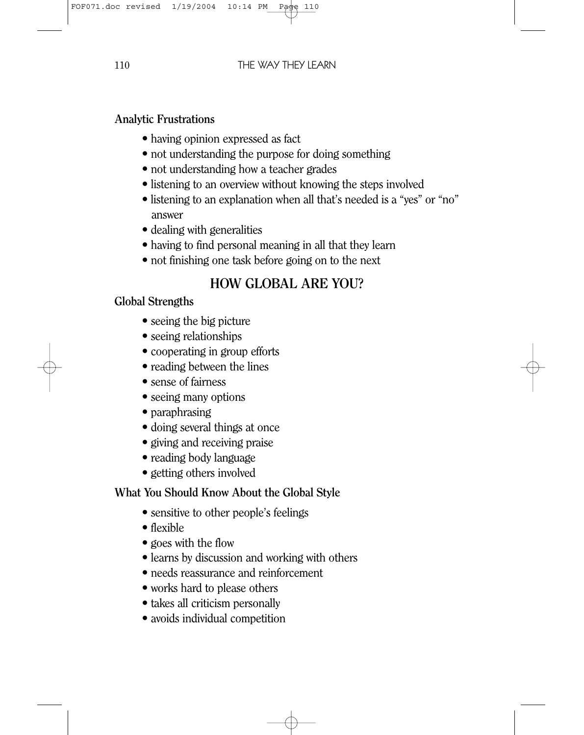# Analytic Frustrations

- having opinion expressed as fact
- not understanding the purpose for doing something
- not understanding how a teacher grades
- listening to an overview without knowing the steps involved
- listening to an explanation when all that's needed is a "yes" or "no" answer
- dealing with generalities
- having to find personal meaning in all that they learn
- not finishing one task before going on to the next

# HOW GLOBAL ARE YOU?

# Global Strengths

- seeing the big picture
- seeing relationships
- cooperating in group efforts
- reading between the lines
- sense of fairness
- seeing many options
- paraphrasing
- doing several things at once
- giving and receiving praise
- reading body language
- getting others involved

# What You Should Know About the Global Style

- sensitive to other people's feelings
- flexible
- goes with the flow
- learns by discussion and working with others
- needs reassurance and reinforcement
- works hard to please others
- takes all criticism personally
- avoids individual competition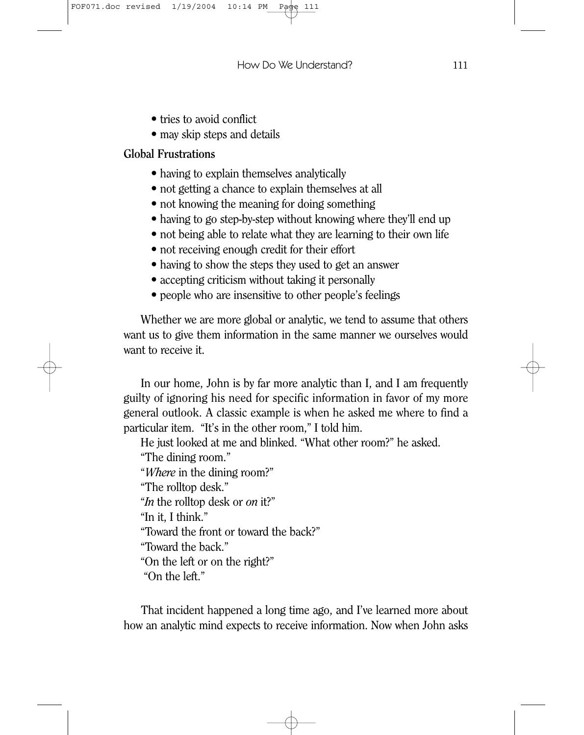- tries to avoid conflict
- may skip steps and details

# Global Frustrations

- having to explain themselves analytically
- not getting a chance to explain themselves at all
- not knowing the meaning for doing something
- having to go step-by-step without knowing where they'll end up
- not being able to relate what they are learning to their own life
- not receiving enough credit for their effort
- having to show the steps they used to get an answer
- accepting criticism without taking it personally
- people who are insensitive to other people's feelings

Whether we are more global or analytic, we tend to assume that others want us to give them information in the same manner we ourselves would want to receive it.

In our home, John is by far more analytic than I, and I am frequently guilty of ignoring his need for specific information in favor of my more general outlook. A classic example is when he asked me where to find a particular item. "It's in the other room," I told him.

He just looked at me and blinked. "What other room?" he asked. "The dining room."

"Where in the dining room?" "The rolltop desk." "In the rolltop desk or on it?" "In it, I think." "Toward the front or toward the back?" "Toward the back." "On the left or on the right?" "On the left."

That incident happened a long time ago, and I've learned more about how an analytic mind expects to receive information. Now when John asks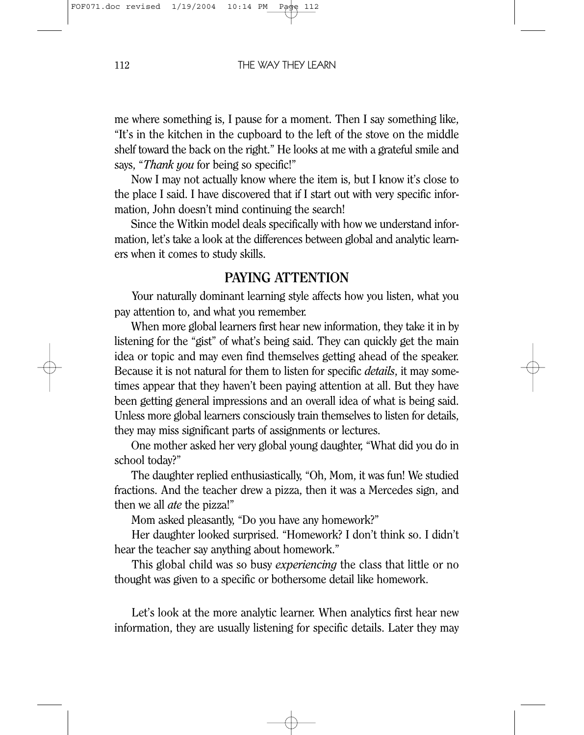me where something is, I pause for a moment. Then I say something like, "It's in the kitchen in the cupboard to the left of the stove on the middle shelf toward the back on the right." He looks at me with a grateful smile and says, "Thank you for being so specific!"

Now I may not actually know where the item is, but I know it's close to the place I said. I have discovered that if I start out with very specific information, John doesn't mind continuing the search!

Since the Witkin model deals specifically with how we understand information, let's take a look at the differences between global and analytic learners when it comes to study skills.

## PAYING ATTENTION

Your naturally dominant learning style affects how you listen, what you pay attention to, and what you remember.

When more global learners first hear new information, they take it in by listening for the "gist" of what's being said. They can quickly get the main idea or topic and may even find themselves getting ahead of the speaker. Because it is not natural for them to listen for specific details, it may sometimes appear that they haven't been paying attention at all. But they have been getting general impressions and an overall idea of what is being said. Unless more global learners consciously train themselves to listen for details, they may miss significant parts of assignments or lectures.

One mother asked her very global young daughter, "What did you do in school today?"

The daughter replied enthusiastically, "Oh, Mom, it was fun! We studied fractions. And the teacher drew a pizza, then it was a Mercedes sign, and then we all *ate* the pizza!"

Mom asked pleasantly, "Do you have any homework?"

Her daughter looked surprised. "Homework? I don't think so. I didn't hear the teacher say anything about homework."

This global child was so busy *experiencing* the class that little or no thought was given to a specific or bothersome detail like homework.

Let's look at the more analytic learner. When analytics first hear new information, they are usually listening for specific details. Later they may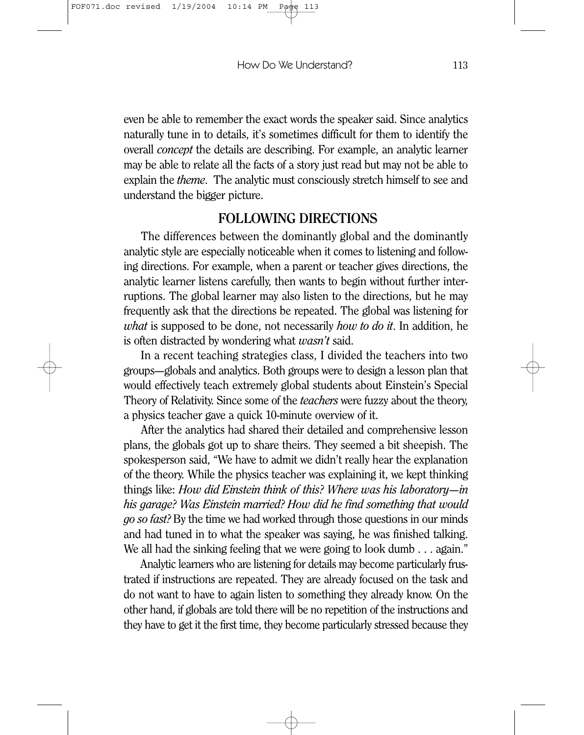even be able to remember the exact words the speaker said. Since analytics naturally tune in to details, it's sometimes difficult for them to identify the overall concept the details are describing. For example, an analytic learner may be able to relate all the facts of a story just read but may not be able to explain the theme. The analytic must consciously stretch himself to see and understand the bigger picture.

# FOLLOWING DIRECTIONS

The differences between the dominantly global and the dominantly analytic style are especially noticeable when it comes to listening and following directions. For example, when a parent or teacher gives directions, the analytic learner listens carefully, then wants to begin without further interruptions. The global learner may also listen to the directions, but he may frequently ask that the directions be repeated. The global was listening for what is supposed to be done, not necessarily how to do it. In addition, he is often distracted by wondering what wasn't said.

In a recent teaching strategies class, I divided the teachers into two groups—globals and analytics. Both groups were to design a lesson plan that would effectively teach extremely global students about Einstein's Special Theory of Relativity. Since some of the teachers were fuzzy about the theory, a physics teacher gave a quick 10-minute overview of it.

After the analytics had shared their detailed and comprehensive lesson plans, the globals got up to share theirs. They seemed a bit sheepish. The spokesperson said, "We have to admit we didn't really hear the explanation of the theory. While the physics teacher was explaining it, we kept thinking things like: How did Einstein think of this? Where was his laboratory—in his garage? Was Einstein married? How did he find something that would go so fast? By the time we had worked through those questions in our minds and had tuned in to what the speaker was saying, he was finished talking. We all had the sinking feeling that we were going to look dumb . . . again."

Analytic learners who are listening for details may become particularly frustrated if instructions are repeated. They are already focused on the task and do not want to have to again listen to something they already know. On the other hand, if globals are told there will be no repetition of the instructions and they have to get it the first time, they become particularly stressed because they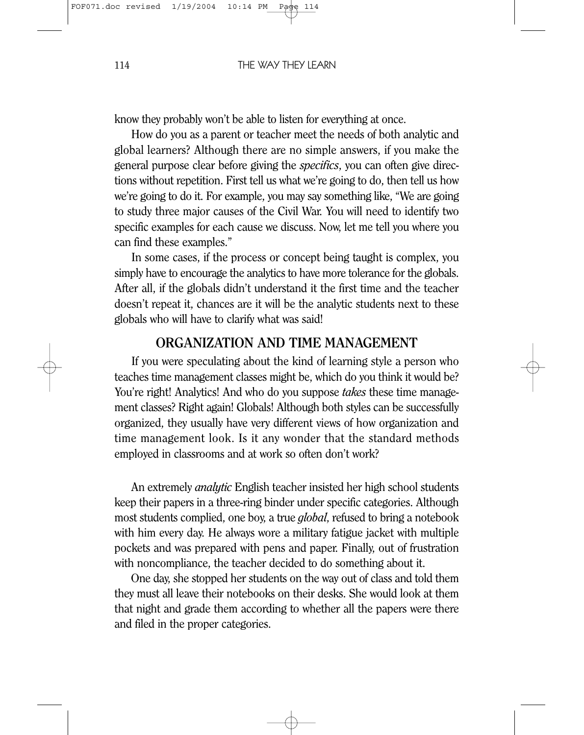know they probably won't be able to listen for everything at once.

How do you as a parent or teacher meet the needs of both analytic and global learners? Although there are no simple answers, if you make the general purpose clear before giving the specifics, you can often give directions without repetition. First tell us what we're going to do, then tell us how we're going to do it. For example, you may say something like, "We are going to study three major causes of the Civil War. You will need to identify two specific examples for each cause we discuss. Now, let me tell you where you can find these examples."

In some cases, if the process or concept being taught is complex, you simply have to encourage the analytics to have more tolerance for the globals. After all, if the globals didn't understand it the first time and the teacher doesn't repeat it, chances are it will be the analytic students next to these globals who will have to clarify what was said!

## ORGANIZATION AND TIME MANAGEMENT

If you were speculating about the kind of learning style a person who teaches time management classes might be, which do you think it would be? You're right! Analytics! And who do you suppose *takes* these time management classes? Right again! Globals! Although both styles can be successfully organized, they usually have very different views of how organization and time management look. Is it any wonder that the standard methods employed in classrooms and at work so often don't work?

An extremely analytic English teacher insisted her high school students keep their papers in a three-ring binder under specific categories. Although most students complied, one boy, a true *global*, refused to bring a notebook with him every day. He always wore a military fatigue jacket with multiple pockets and was prepared with pens and paper. Finally, out of frustration with noncompliance, the teacher decided to do something about it.

One day, she stopped her students on the way out of class and told them they must all leave their notebooks on their desks. She would look at them that night and grade them according to whether all the papers were there and filed in the proper categories.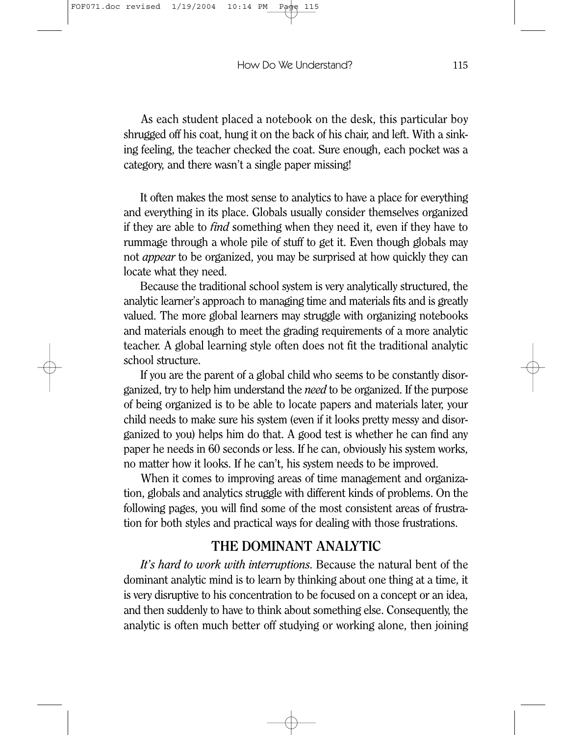As each student placed a notebook on the desk, this particular boy shrugged off his coat, hung it on the back of his chair, and left. With a sinking feeling, the teacher checked the coat. Sure enough, each pocket was a category, and there wasn't a single paper missing!

It often makes the most sense to analytics to have a place for everything and everything in its place. Globals usually consider themselves organized if they are able to find something when they need it, even if they have to rummage through a whole pile of stuff to get it. Even though globals may not appear to be organized, you may be surprised at how quickly they can locate what they need.

Because the traditional school system is very analytically structured, the analytic learner's approach to managing time and materials fits and is greatly valued. The more global learners may struggle with organizing notebooks and materials enough to meet the grading requirements of a more analytic teacher. A global learning style often does not fit the traditional analytic school structure.

If you are the parent of a global child who seems to be constantly disorganized, try to help him understand the need to be organized. If the purpose of being organized is to be able to locate papers and materials later, your child needs to make sure his system (even if it looks pretty messy and disorganized to you) helps him do that. A good test is whether he can find any paper he needs in 60 seconds or less. If he can, obviously his system works, no matter how it looks. If he can't, his system needs to be improved.

When it comes to improving areas of time management and organization, globals and analytics struggle with different kinds of problems. On the following pages, you will find some of the most consistent areas of frustration for both styles and practical ways for dealing with those frustrations.

# THE DOMINANT ANALYTIC

It's hard to work with interruptions. Because the natural bent of the dominant analytic mind is to learn by thinking about one thing at a time, it is very disruptive to his concentration to be focused on a concept or an idea, and then suddenly to have to think about something else. Consequently, the analytic is often much better off studying or working alone, then joining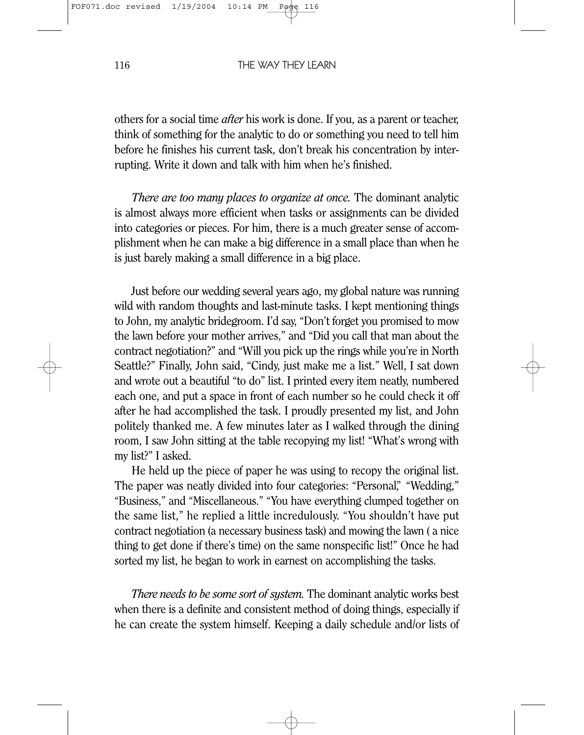others for a social time after his work is done. If you, as a parent or teacher, think of something for the analytic to do or something you need to tell him before he finishes his current task, don't break his concentration by interrupting. Write it down and talk with him when he's finished.

There are too many places to organize at once. The dominant analytic is almost always more efficient when tasks or assignments can be divided into categories or pieces. For him, there is a much greater sense of accomplishment when he can make a big difference in a small place than when he is just barely making a small difference in a big place.

Just before our wedding several years ago, my global nature was running wild with random thoughts and last-minute tasks. I kept mentioning things to John, my analytic bridegroom. I'd say, "Don't forget you promised to mow the lawn before your mother arrives," and "Did you call that man about the contract negotiation?" and "Will you pick up the rings while you're in North Seattle?" Finally, John said, "Cindy, just make me a list." Well, I sat down and wrote out a beautiful "to do" list. I printed every item neatly, numbered each one, and put a space in front of each number so he could check it off after he had accomplished the task. I proudly presented my list, and John politely thanked me. A few minutes later as I walked through the dining room, I saw John sitting at the table recopying my list! "What's wrong with my list?" I asked.

He held up the piece of paper he was using to recopy the original list. The paper was neatly divided into four categories: "Personal," "Wedding," "Business," and "Miscellaneous." "You have everything clumped together on the same list," he replied a little incredulously. "You shouldn't have put contract negotiation (a necessary business task) and mowing the lawn ( a nice thing to get done if there's time) on the same nonspecific list!" Once he had sorted my list, he began to work in earnest on accomplishing the tasks.

There needs to be some sort of system. The dominant analytic works best when there is a definite and consistent method of doing things, especially if he can create the system himself. Keeping a daily schedule and/or lists of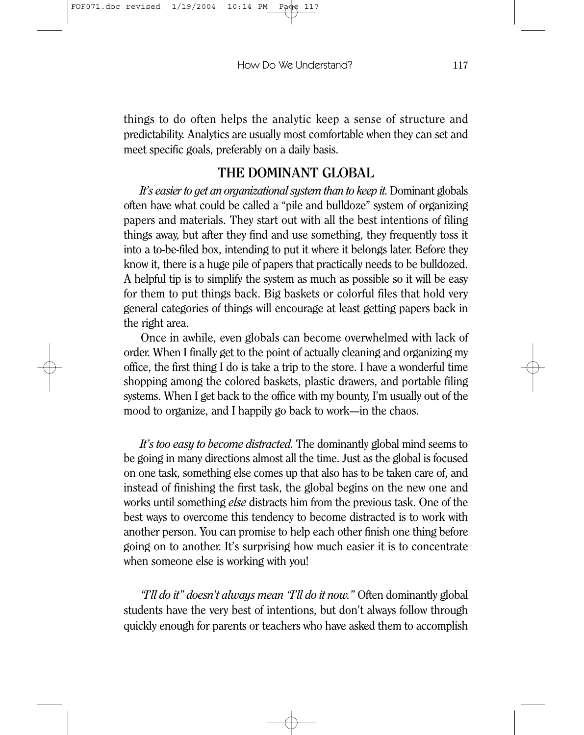things to do often helps the analytic keep a sense of structure and predictability. Analytics are usually most comfortable when they can set and meet specific goals, preferably on a daily basis.

# THE DOMINANT GLOBAL

It's easier to get an organizational system than to keep it. Dominant globals often have what could be called a "pile and bulldoze" system of organizing papers and materials. They start out with all the best intentions of filing things away, but after they find and use something, they frequently toss it into a to-be-filed box, intending to put it where it belongs later. Before they know it, there is a huge pile of papers that practically needs to be bulldozed. A helpful tip is to simplify the system as much as possible so it will be easy for them to put things back. Big baskets or colorful files that hold very general categories of things will encourage at least getting papers back in the right area.

Once in awhile, even globals can become overwhelmed with lack of order. When I finally get to the point of actually cleaning and organizing my office, the first thing I do is take a trip to the store. I have a wonderful time shopping among the colored baskets, plastic drawers, and portable filing systems. When I get back to the office with my bounty, I'm usually out of the mood to organize, and I happily go back to work—in the chaos.

It's too easy to become distracted. The dominantly global mind seems to be going in many directions almost all the time. Just as the global is focused on one task, something else comes up that also has to be taken care of, and instead of finishing the first task, the global begins on the new one and works until something *else* distracts him from the previous task. One of the best ways to overcome this tendency to become distracted is to work with another person. You can promise to help each other finish one thing before going on to another. It's surprising how much easier it is to concentrate when someone else is working with you!

"I'll do it" doesn't always mean "I'll do it now." Often dominantly global students have the very best of intentions, but don't always follow through quickly enough for parents or teachers who have asked them to accomplish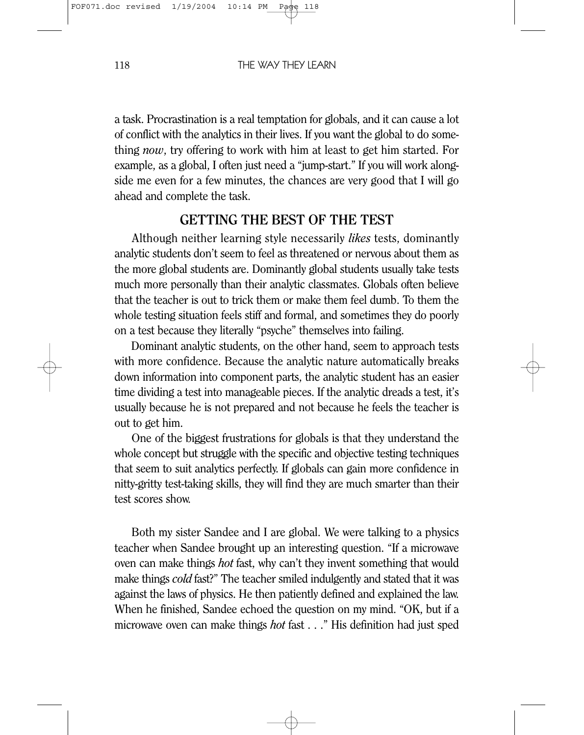a task. Procrastination is a real temptation for globals, and it can cause a lot of conflict with the analytics in their lives. If you want the global to do something now, try offering to work with him at least to get him started. For example, as a global, I often just need a "jump-start." If you will work alongside me even for a few minutes, the chances are very good that I will go ahead and complete the task.

# GETTING THE BEST OF THE TEST

Although neither learning style necessarily likes tests, dominantly analytic students don't seem to feel as threatened or nervous about them as the more global students are. Dominantly global students usually take tests much more personally than their analytic classmates. Globals often believe that the teacher is out to trick them or make them feel dumb. To them the whole testing situation feels stiff and formal, and sometimes they do poorly on a test because they literally "psyche" themselves into failing.

Dominant analytic students, on the other hand, seem to approach tests with more confidence. Because the analytic nature automatically breaks down information into component parts, the analytic student has an easier time dividing a test into manageable pieces. If the analytic dreads a test, it's usually because he is not prepared and not because he feels the teacher is out to get him.

One of the biggest frustrations for globals is that they understand the whole concept but struggle with the specific and objective testing techniques that seem to suit analytics perfectly. If globals can gain more confidence in nitty-gritty test-taking skills, they will find they are much smarter than their test scores show.

Both my sister Sandee and I are global. We were talking to a physics teacher when Sandee brought up an interesting question. "If a microwave oven can make things hot fast, why can't they invent something that would make things cold fast?" The teacher smiled indulgently and stated that it was against the laws of physics. He then patiently defined and explained the law. When he finished, Sandee echoed the question on my mind. "OK, but if a microwave oven can make things hot fast . . ." His definition had just sped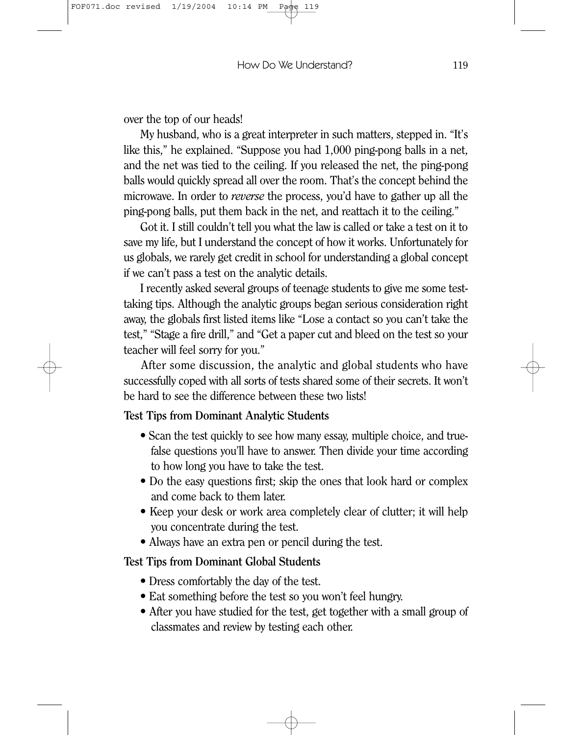over the top of our heads!

My husband, who is a great interpreter in such matters, stepped in. "It's like this," he explained. "Suppose you had 1,000 ping-pong balls in a net, and the net was tied to the ceiling. If you released the net, the ping-pong balls would quickly spread all over the room. That's the concept behind the microwave. In order to *reverse* the process, you'd have to gather up all the ping-pong balls, put them back in the net, and reattach it to the ceiling."

Got it. I still couldn't tell you what the law is called or take a test on it to save my life, but I understand the concept of how it works. Unfortunately for us globals, we rarely get credit in school for understanding a global concept if we can't pass a test on the analytic details.

I recently asked several groups of teenage students to give me some testtaking tips. Although the analytic groups began serious consideration right away, the globals first listed items like "Lose a contact so you can't take the test," "Stage a fire drill," and "Get a paper cut and bleed on the test so your teacher will feel sorry for you."

After some discussion, the analytic and global students who have successfully coped with all sorts of tests shared some of their secrets. It won't be hard to see the difference between these two lists!

## Test Tips from Dominant Analytic Students

- Scan the test quickly to see how many essay, multiple choice, and truefalse questions you'll have to answer. Then divide your time according to how long you have to take the test.
- Do the easy questions first; skip the ones that look hard or complex and come back to them later.
- Keep your desk or work area completely clear of clutter; it will help you concentrate during the test.
- Always have an extra pen or pencil during the test.

## Test Tips from Dominant Global Students

- Dress comfortably the day of the test.
- Eat something before the test so you won't feel hungry.
- After you have studied for the test, get together with a small group of classmates and review by testing each other.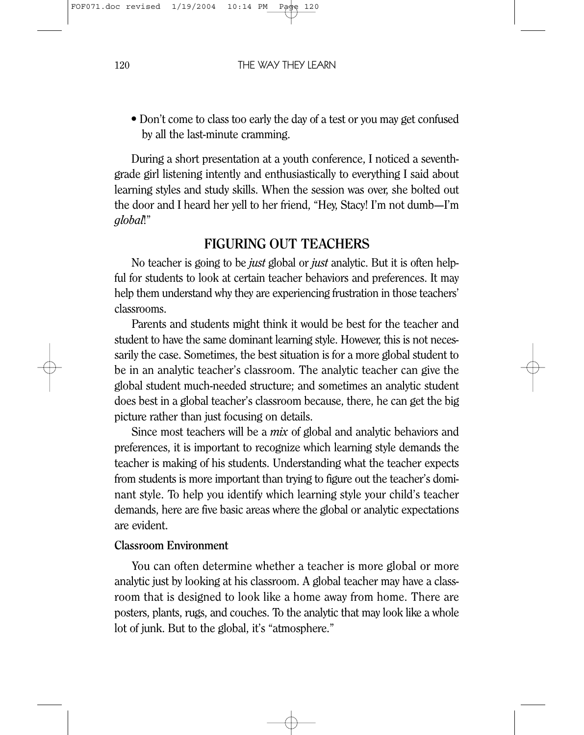• Don't come to class too early the day of a test or you may get confused by all the last-minute cramming.

During a short presentation at a youth conference, I noticed a seventhgrade girl listening intently and enthusiastically to everything I said about learning styles and study skills. When the session was over, she bolted out the door and I heard her yell to her friend, "Hey, Stacy! I'm not dumb—I'm global!"

# FIGURING OUT TEACHERS

No teacher is going to be *just* global or *just* analytic. But it is often helpful for students to look at certain teacher behaviors and preferences. It may help them understand why they are experiencing frustration in those teachers' classrooms.

Parents and students might think it would be best for the teacher and student to have the same dominant learning style. However, this is not necessarily the case. Sometimes, the best situation is for a more global student to be in an analytic teacher's classroom. The analytic teacher can give the global student much-needed structure; and sometimes an analytic student does best in a global teacher's classroom because, there, he can get the big picture rather than just focusing on details.

Since most teachers will be a *mix* of global and analytic behaviors and preferences, it is important to recognize which learning style demands the teacher is making of his students. Understanding what the teacher expects from students is more important than trying to figure out the teacher's dominant style. To help you identify which learning style your child's teacher demands, here are five basic areas where the global or analytic expectations are evident.

#### Classroom Environment

You can often determine whether a teacher is more global or more analytic just by looking at his classroom. A global teacher may have a classroom that is designed to look like a home away from home. There are posters, plants, rugs, and couches. To the analytic that may look like a whole lot of junk. But to the global, it's "atmosphere."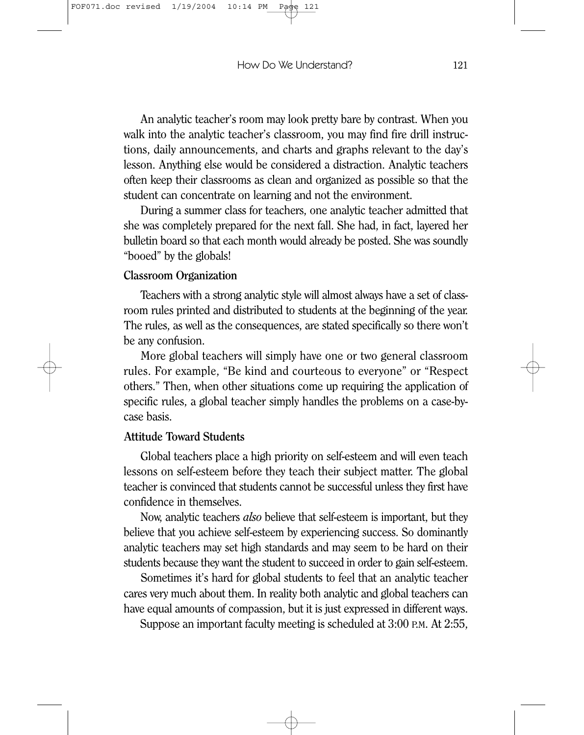An analytic teacher's room may look pretty bare by contrast. When you walk into the analytic teacher's classroom, you may find fire drill instructions, daily announcements, and charts and graphs relevant to the day's lesson. Anything else would be considered a distraction. Analytic teachers often keep their classrooms as clean and organized as possible so that the student can concentrate on learning and not the environment.

During a summer class for teachers, one analytic teacher admitted that she was completely prepared for the next fall. She had, in fact, layered her bulletin board so that each month would already be posted. She was soundly "booed" by the globals!

#### Classroom Organization

Teachers with a strong analytic style will almost always have a set of classroom rules printed and distributed to students at the beginning of the year. The rules, as well as the consequences, are stated specifically so there won't be any confusion.

More global teachers will simply have one or two general classroom rules. For example, "Be kind and courteous to everyone" or "Respect others." Then, when other situations come up requiring the application of specific rules, a global teacher simply handles the problems on a case-bycase basis.

#### Attitude Toward Students

Global teachers place a high priority on self-esteem and will even teach lessons on self-esteem before they teach their subject matter. The global teacher is convinced that students cannot be successful unless they first have confidence in themselves.

Now, analytic teachers *also* believe that self-esteem is important, but they believe that you achieve self-esteem by experiencing success. So dominantly analytic teachers may set high standards and may seem to be hard on their students because they want the student to succeed in order to gain self-esteem.

Sometimes it's hard for global students to feel that an analytic teacher cares very much about them. In reality both analytic and global teachers can have equal amounts of compassion, but it is just expressed in different ways.

Suppose an important faculty meeting is scheduled at 3:00 P.M. At 2:55,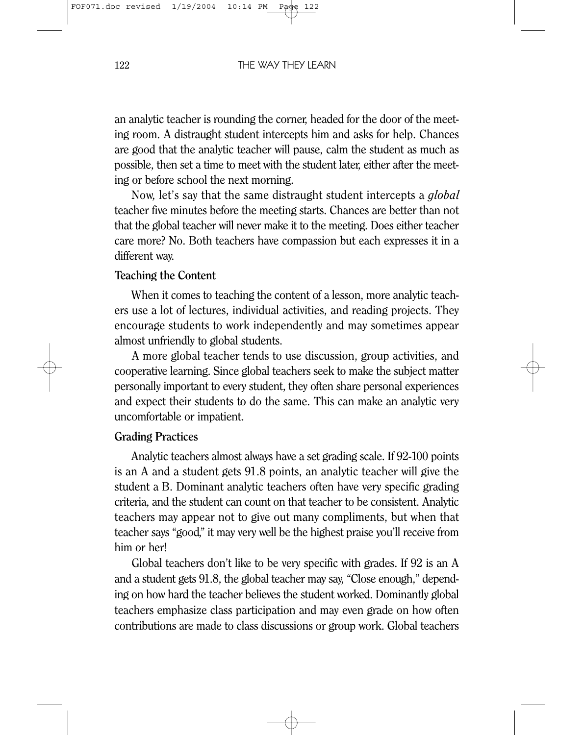an analytic teacher is rounding the corner, headed for the door of the meeting room. A distraught student intercepts him and asks for help. Chances are good that the analytic teacher will pause, calm the student as much as possible, then set a time to meet with the student later, either after the meeting or before school the next morning.

Now, let's say that the same distraught student intercepts a *global* teacher five minutes before the meeting starts. Chances are better than not that the global teacher will never make it to the meeting. Does either teacher care more? No. Both teachers have compassion but each expresses it in a different way.

#### Teaching the Content

When it comes to teaching the content of a lesson, more analytic teachers use a lot of lectures, individual activities, and reading projects. They encourage students to work independently and may sometimes appear almost unfriendly to global students.

A more global teacher tends to use discussion, group activities, and cooperative learning. Since global teachers seek to make the subject matter personally important to every student, they often share personal experiences and expect their students to do the same. This can make an analytic very uncomfortable or impatient.

#### Grading Practices

Analytic teachers almost always have a set grading scale. If 92-100 points is an A and a student gets 91.8 points, an analytic teacher will give the student a B. Dominant analytic teachers often have very specific grading criteria, and the student can count on that teacher to be consistent. Analytic teachers may appear not to give out many compliments, but when that teacher says "good," it may very well be the highest praise you'll receive from him or her!

Global teachers don't like to be very specific with grades. If 92 is an A and a student gets 91.8, the global teacher may say, "Close enough," depending on how hard the teacher believes the student worked. Dominantly global teachers emphasize class participation and may even grade on how often contributions are made to class discussions or group work. Global teachers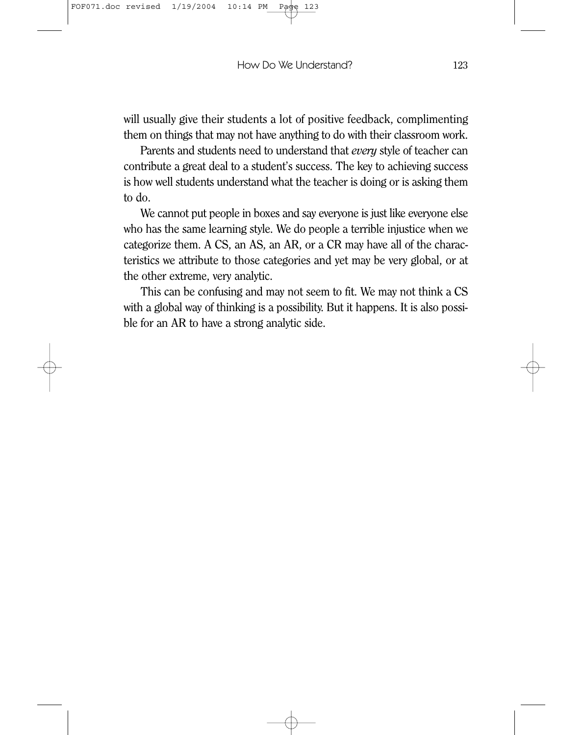will usually give their students a lot of positive feedback, complimenting them on things that may not have anything to do with their classroom work.

Parents and students need to understand that every style of teacher can contribute a great deal to a student's success. The key to achieving success is how well students understand what the teacher is doing or is asking them to do.

We cannot put people in boxes and say everyone is just like everyone else who has the same learning style. We do people a terrible injustice when we categorize them. A CS, an AS, an AR, or a CR may have all of the characteristics we attribute to those categories and yet may be very global, or at the other extreme, very analytic.

This can be confusing and may not seem to fit. We may not think a CS with a global way of thinking is a possibility. But it happens. It is also possible for an AR to have a strong analytic side.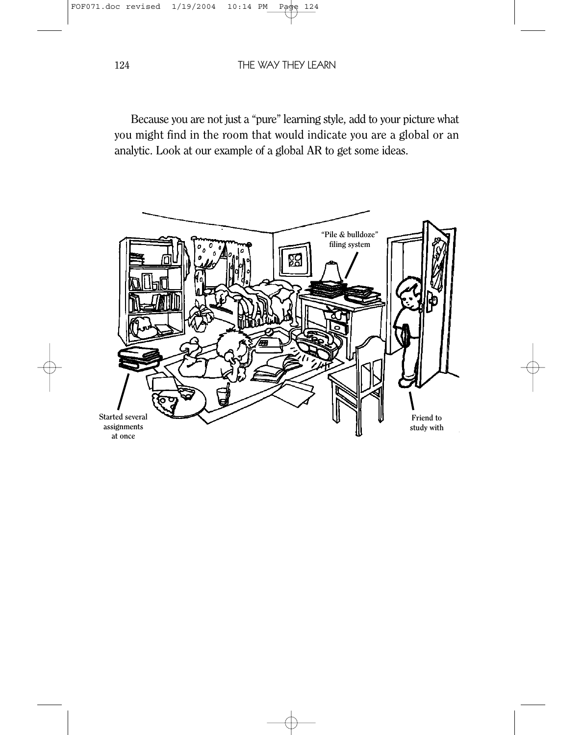Because you are not just a "pure" learning style, add to your picture what you might find in the room that would indicate you are a global or an analytic. Look at our example of a global AR to get some ideas.

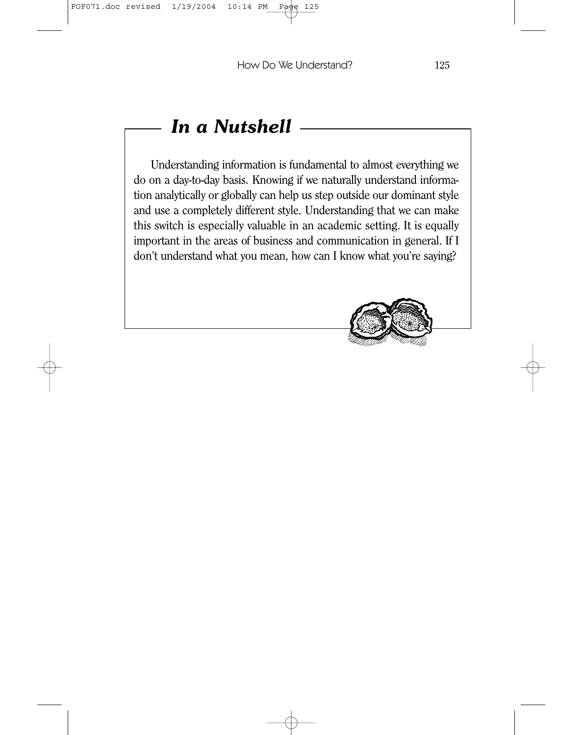# *In a Nutshell*

Understanding information is fundamental to almost everything we do on a day-to-day basis. Knowing if we naturally understand information analytically or globally can help us step outside our dominant style and use a completely different style. Understanding that we can make this switch is especially valuable in an academic setting. It is equally important in the areas of business and communication in general. If I don't understand what you mean, how can I know what you're saying?

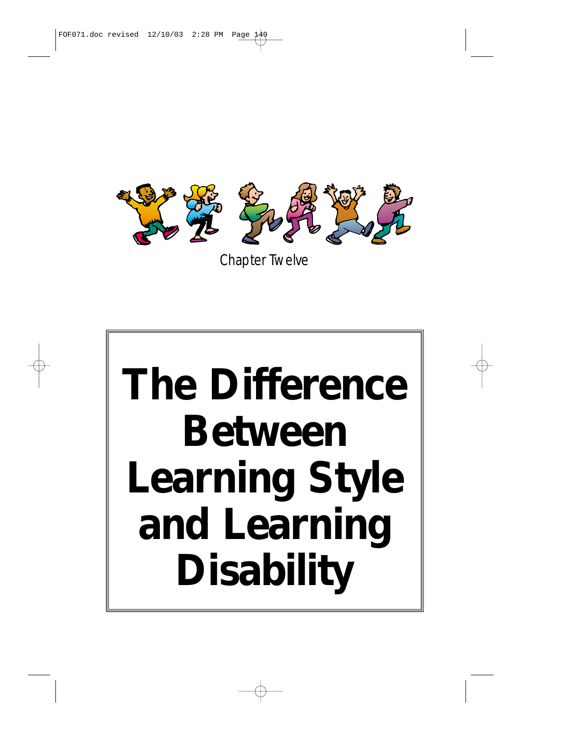

Chapter Twelve

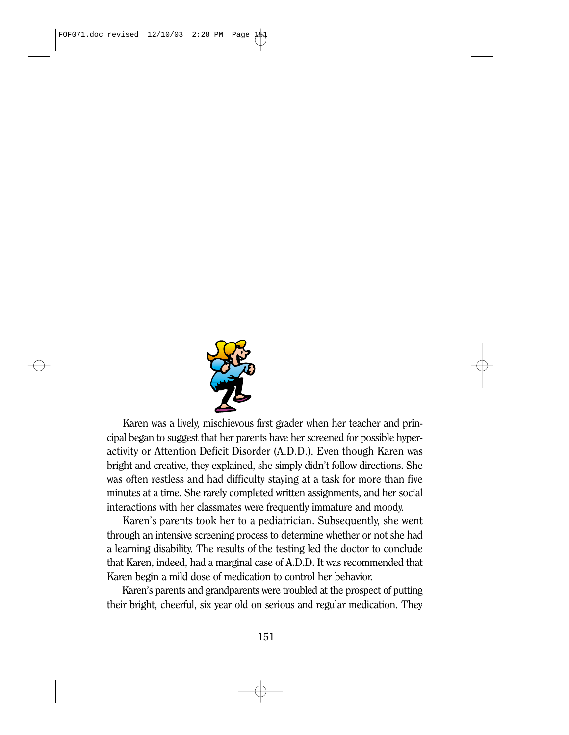

Karen was a lively, mischievous first grader when her teacher and principal began to suggest that her parents have her screened for possible hyperactivity or Attention Deficit Disorder (A.D.D.). Even though Karen was bright and creative, they explained, she simply didn't follow directions. She was often restless and had difficulty staying at a task for more than five minutes at a time. She rarely completed written assignments, and her social interactions with her classmates were frequently immature and moody.

Karen's parents took her to a pediatrician. Subsequently, she went through an intensive screening process to determine whether or not she had a learning disability. The results of the testing led the doctor to conclude that Karen, indeed, had a marginal case of A.D.D. It was recommended that Karen begin a mild dose of medication to control her behavior.

Karen's parents and grandparents were troubled at the prospect of putting their bright, cheerful, six year old on serious and regular medication. They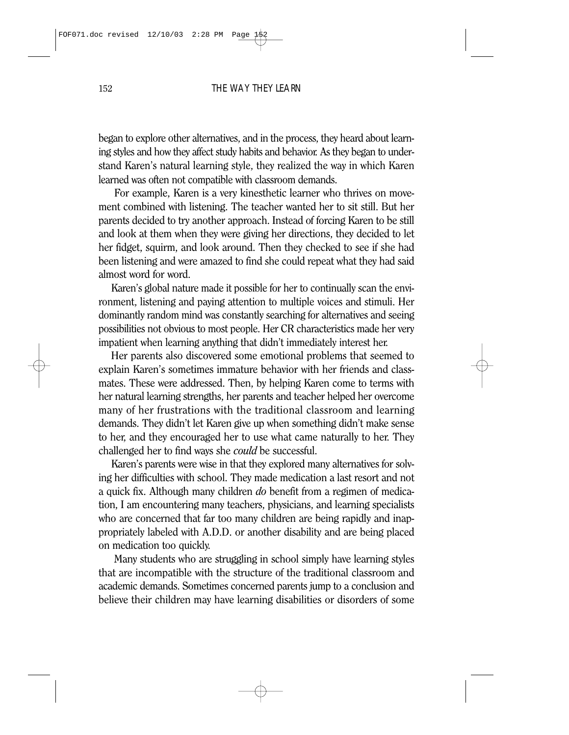began to explore other alternatives, and in the process, they heard about learning styles and how they affect study habits and behavior. As they began to understand Karen's natural learning style, they realized the way in which Karen learned was often not compatible with classroom demands.

For example, Karen is a very kinesthetic learner who thrives on movement combined with listening. The teacher wanted her to sit still. But her parents decided to try another approach. Instead of forcing Karen to be still and look at them when they were giving her directions, they decided to let her fidget, squirm, and look around. Then they checked to see if she had been listening and were amazed to find she could repeat what they had said almost word for word.

Karen's global nature made it possible for her to continually scan the environment, listening and paying attention to multiple voices and stimuli. Her dominantly random mind was constantly searching for alternatives and seeing possibilities not obvious to most people. Her CR characteristics made her very impatient when learning anything that didn't immediately interest her.

Her parents also discovered some emotional problems that seemed to explain Karen's sometimes immature behavior with her friends and classmates. These were addressed. Then, by helping Karen come to terms with her natural learning strengths, her parents and teacher helped her overcome many of her frustrations with the traditional classroom and learning demands. They didn't let Karen give up when something didn't make sense to her, and they encouraged her to use what came naturally to her. They challenged her to find ways she could be successful.

Karen's parents were wise in that they explored many alternatives for solving her difficulties with school. They made medication a last resort and not a quick fix. Although many children do benefit from a regimen of medication, I am encountering many teachers, physicians, and learning specialists who are concerned that far too many children are being rapidly and inappropriately labeled with A.D.D. or another disability and are being placed on medication too quickly.

Many students who are struggling in school simply have learning styles that are incompatible with the structure of the traditional classroom and academic demands. Sometimes concerned parents jump to a conclusion and believe their children may have learning disabilities or disorders of some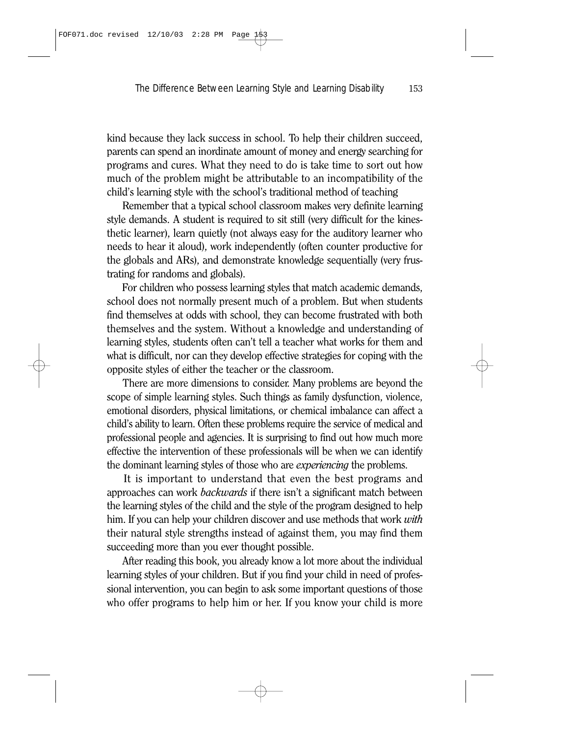kind because they lack success in school. To help their children succeed, parents can spend an inordinate amount of money and energy searching for programs and cures. What they need to do is take time to sort out how much of the problem might be attributable to an incompatibility of the child's learning style with the school's traditional method of teaching

Remember that a typical school classroom makes very definite learning style demands. A student is required to sit still (very difficult for the kinesthetic learner), learn quietly (not always easy for the auditory learner who needs to hear it aloud), work independently (often counter productive for the globals and ARs), and demonstrate knowledge sequentially (very frustrating for randoms and globals).

For children who possess learning styles that match academic demands, school does not normally present much of a problem. But when students find themselves at odds with school, they can become frustrated with both themselves and the system. Without a knowledge and understanding of learning styles, students often can't tell a teacher what works for them and what is difficult, nor can they develop effective strategies for coping with the opposite styles of either the teacher or the classroom.

There are more dimensions to consider. Many problems are beyond the scope of simple learning styles. Such things as family dysfunction, violence, emotional disorders, physical limitations, or chemical imbalance can affect a child's ability to learn. Often these problems require the service of medical and professional people and agencies. It is surprising to find out how much more effective the intervention of these professionals will be when we can identify the dominant learning styles of those who are *experiencing* the problems.

It is important to understand that even the best programs and approaches can work *backwards* if there isn't a significant match between the learning styles of the child and the style of the program designed to help him. If you can help your children discover and use methods that work with their natural style strengths instead of against them, you may find them succeeding more than you ever thought possible.

After reading this book, you already know a lot more about the individual learning styles of your children. But if you find your child in need of professional intervention, you can begin to ask some important questions of those who offer programs to help him or her. If you know your child is more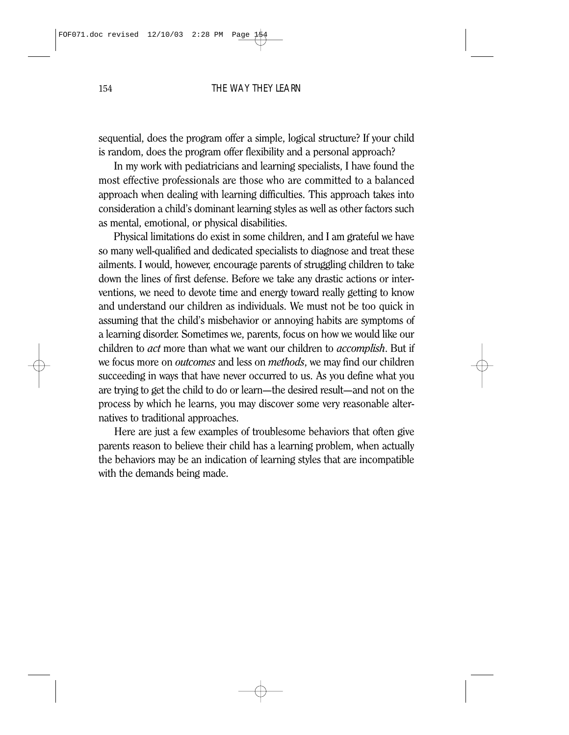sequential, does the program offer a simple, logical structure? If your child is random, does the program offer flexibility and a personal approach?

In my work with pediatricians and learning specialists, I have found the most effective professionals are those who are committed to a balanced approach when dealing with learning difficulties. This approach takes into consideration a child's dominant learning styles as well as other factors such as mental, emotional, or physical disabilities.

Physical limitations do exist in some children, and I am grateful we have so many well-qualified and dedicated specialists to diagnose and treat these ailments. I would, however, encourage parents of struggling children to take down the lines of first defense. Before we take any drastic actions or interventions, we need to devote time and energy toward really getting to know and understand our children as individuals. We must not be too quick in assuming that the child's misbehavior or annoying habits are symptoms of a learning disorder. Sometimes we, parents, focus on how we would like our children to *act* more than what we want our children to *accomplish*. But if we focus more on *outcomes* and less on *methods*, we may find our children succeeding in ways that have never occurred to us. As you define what you are trying to get the child to do or learn—the desired result—and not on the process by which he learns, you may discover some very reasonable alternatives to traditional approaches.

Here are just a few examples of troublesome behaviors that often give parents reason to believe their child has a learning problem, when actually the behaviors may be an indication of learning styles that are incompatible with the demands being made.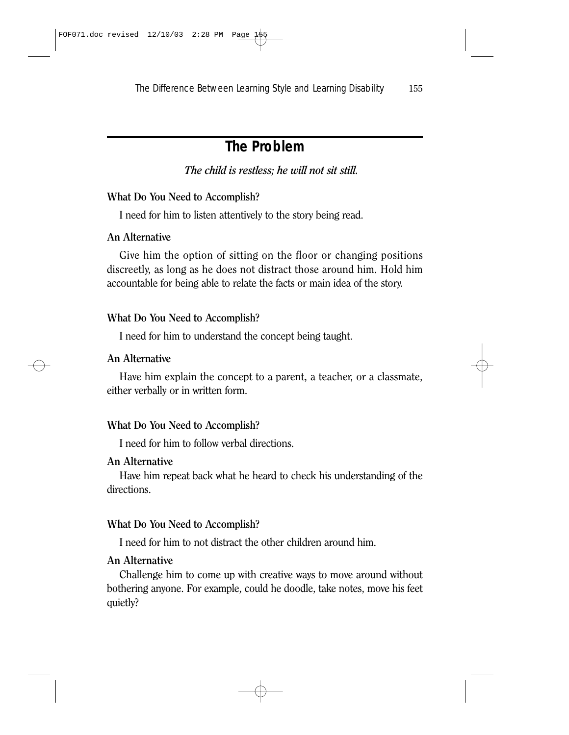# **The Problem**

The child is restless; he will not sit still.

## What Do You Need to Accomplish?

I need for him to listen attentively to the story being read.

## An Alternative

Give him the option of sitting on the floor or changing positions discreetly, as long as he does not distract those around him. Hold him accountable for being able to relate the facts or main idea of the story.

#### What Do You Need to Accomplish?

I need for him to understand the concept being taught.

#### An Alternative

Have him explain the concept to a parent, a teacher, or a classmate, either verbally or in written form.

#### What Do You Need to Accomplish?

I need for him to follow verbal directions.

#### An Alternative

Have him repeat back what he heard to check his understanding of the directions.

#### What Do You Need to Accomplish?

I need for him to not distract the other children around him.

#### An Alternative

Challenge him to come up with creative ways to move around without bothering anyone. For example, could he doodle, take notes, move his feet quietly?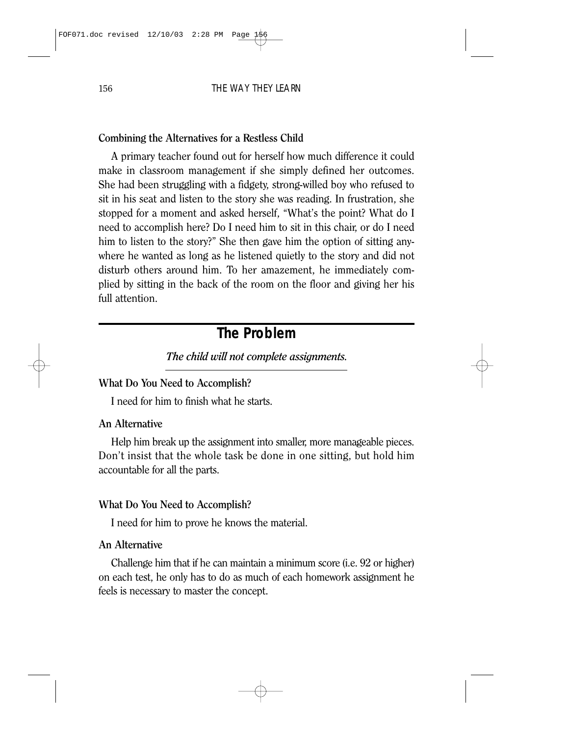#### Combining the Alternatives for a Restless Child

A primary teacher found out for herself how much difference it could make in classroom management if she simply defined her outcomes. She had been struggling with a fidgety, strong-willed boy who refused to sit in his seat and listen to the story she was reading. In frustration, she stopped for a moment and asked herself, "What's the point? What do I need to accomplish here? Do I need him to sit in this chair, or do I need him to listen to the story?" She then gave him the option of sitting anywhere he wanted as long as he listened quietly to the story and did not disturb others around him. To her amazement, he immediately complied by sitting in the back of the room on the floor and giving her his full attention.

# **The Problem**

#### The child will not complete assignments.

#### What Do You Need to Accomplish?

I need for him to finish what he starts.

#### An Alternative

Help him break up the assignment into smaller, more manageable pieces. Don't insist that the whole task be done in one sitting, but hold him accountable for all the parts.

#### What Do You Need to Accomplish?

I need for him to prove he knows the material.

#### An Alternative

Challenge him that if he can maintain a minimum score (i.e. 92 or higher) on each test, he only has to do as much of each homework assignment he feels is necessary to master the concept.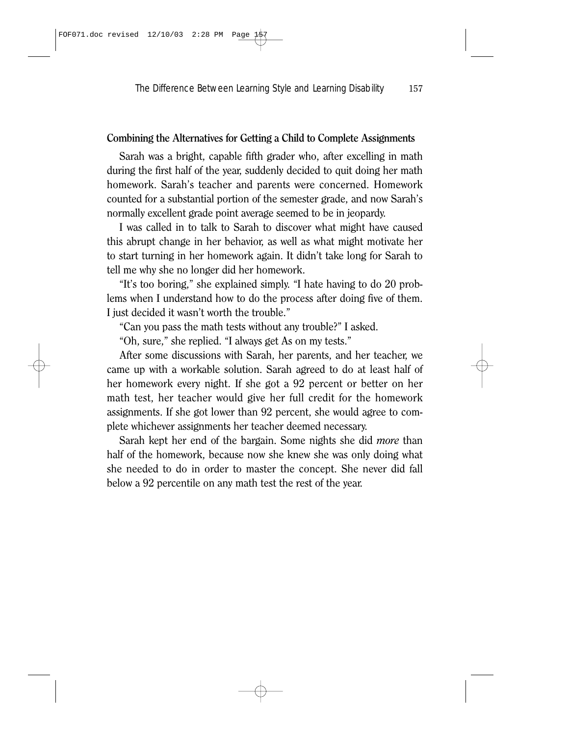#### Combining the Alternatives for Getting a Child to Complete Assignments

Sarah was a bright, capable fifth grader who, after excelling in math during the first half of the year, suddenly decided to quit doing her math homework. Sarah's teacher and parents were concerned. Homework counted for a substantial portion of the semester grade, and now Sarah's normally excellent grade point average seemed to be in jeopardy.

I was called in to talk to Sarah to discover what might have caused this abrupt change in her behavior, as well as what might motivate her to start turning in her homework again. It didn't take long for Sarah to tell me why she no longer did her homework.

"It's too boring," she explained simply. "I hate having to do 20 problems when I understand how to do the process after doing five of them. I just decided it wasn't worth the trouble."

"Can you pass the math tests without any trouble?" I asked.

"Oh, sure," she replied. "I always get As on my tests."

After some discussions with Sarah, her parents, and her teacher, we came up with a workable solution. Sarah agreed to do at least half of her homework every night. If she got a 92 percent or better on her math test, her teacher would give her full credit for the homework assignments. If she got lower than 92 percent, she would agree to complete whichever assignments her teacher deemed necessary.

Sarah kept her end of the bargain. Some nights she did more than half of the homework, because now she knew she was only doing what she needed to do in order to master the concept. She never did fall below a 92 percentile on any math test the rest of the year.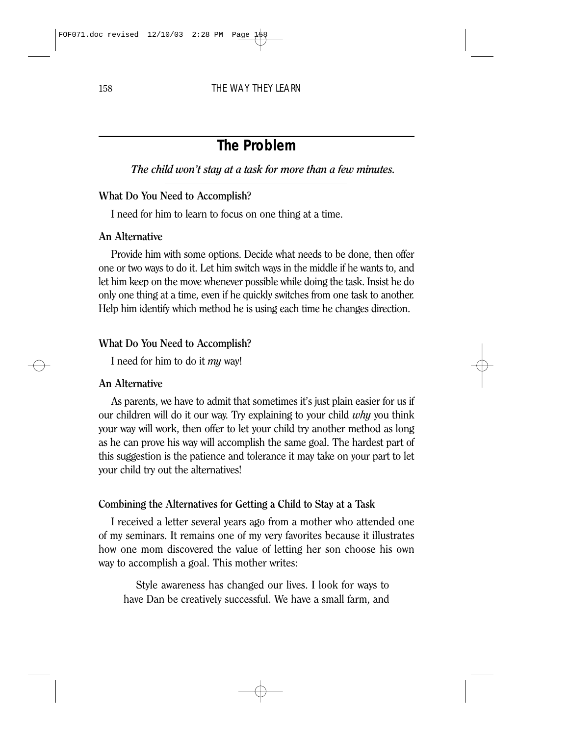# **The Problem**

The child won't stay at a task for more than a few minutes.

## What Do You Need to Accomplish?

I need for him to learn to focus on one thing at a time.

## An Alternative

Provide him with some options. Decide what needs to be done, then offer one or two ways to do it. Let him switch ways in the middle if he wants to, and let him keep on the move whenever possible while doing the task. Insist he do only one thing at a time, even if he quickly switches from one task to another. Help him identify which method he is using each time he changes direction.

# What Do You Need to Accomplish?

I need for him to do it my way!

# An Alternative

As parents, we have to admit that sometimes it's just plain easier for us if our children will do it our way. Try explaining to your child why you think your way will work, then offer to let your child try another method as long as he can prove his way will accomplish the same goal. The hardest part of this suggestion is the patience and tolerance it may take on your part to let your child try out the alternatives!

# Combining the Alternatives for Getting a Child to Stay at a Task

I received a letter several years ago from a mother who attended one of my seminars. It remains one of my very favorites because it illustrates how one mom discovered the value of letting her son choose his own way to accomplish a goal. This mother writes:

Style awareness has changed our lives. I look for ways to have Dan be creatively successful. We have a small farm, and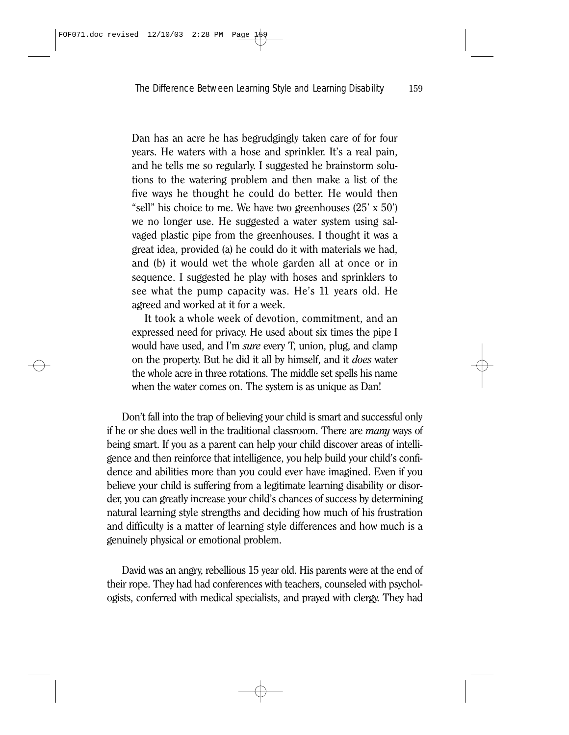Dan has an acre he has begrudgingly taken care of for four years. He waters with a hose and sprinkler. It's a real pain, and he tells me so regularly. I suggested he brainstorm solutions to the watering problem and then make a list of the five ways he thought he could do better. He would then "sell" his choice to me. We have two greenhouses  $(25' \times 50')$ we no longer use. He suggested a water system using salvaged plastic pipe from the greenhouses. I thought it was a great idea, provided (a) he could do it with materials we had, and (b) it would wet the whole garden all at once or in sequence. I suggested he play with hoses and sprinklers to see what the pump capacity was. He's 11 years old. He agreed and worked at it for a week.

It took a whole week of devotion, commitment, and an expressed need for privacy. He used about six times the pipe I would have used, and I'm *sure* every T, union, plug, and clamp on the property. But he did it all by himself, and it does water the whole acre in three rotations. The middle set spells his name when the water comes on. The system is as unique as Dan!

Don't fall into the trap of believing your child is smart and successful only if he or she does well in the traditional classroom. There are many ways of being smart. If you as a parent can help your child discover areas of intelligence and then reinforce that intelligence, you help build your child's confidence and abilities more than you could ever have imagined. Even if you believe your child is suffering from a legitimate learning disability or disorder, you can greatly increase your child's chances of success by determining natural learning style strengths and deciding how much of his frustration and difficulty is a matter of learning style differences and how much is a genuinely physical or emotional problem.

David was an angry, rebellious 15 year old. His parents were at the end of their rope. They had had conferences with teachers, counseled with psychologists, conferred with medical specialists, and prayed with clergy. They had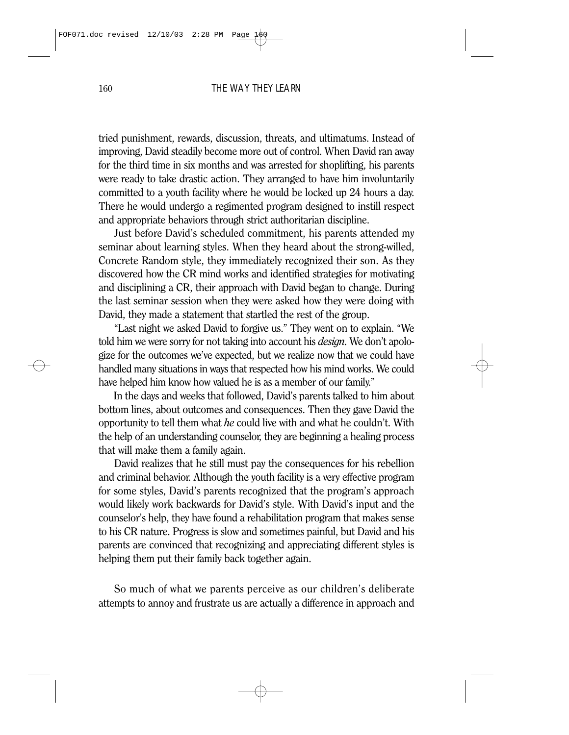tried punishment, rewards, discussion, threats, and ultimatums. Instead of improving, David steadily become more out of control. When David ran away for the third time in six months and was arrested for shoplifting, his parents were ready to take drastic action. They arranged to have him involuntarily committed to a youth facility where he would be locked up 24 hours a day. There he would undergo a regimented program designed to instill respect and appropriate behaviors through strict authoritarian discipline.

Just before David's scheduled commitment, his parents attended my seminar about learning styles. When they heard about the strong-willed, Concrete Random style, they immediately recognized their son. As they discovered how the CR mind works and identified strategies for motivating and disciplining a CR, their approach with David began to change. During the last seminar session when they were asked how they were doing with David, they made a statement that startled the rest of the group.

"Last night we asked David to forgive us." They went on to explain. "We told him we were sorry for not taking into account his *design*. We don't apologize for the outcomes we've expected, but we realize now that we could have handled many situations in ways that respected how his mind works. We could have helped him know how valued he is as a member of our family."

In the days and weeks that followed, David's parents talked to him about bottom lines, about outcomes and consequences. Then they gave David the opportunity to tell them what he could live with and what he couldn't. With the help of an understanding counselor, they are beginning a healing process that will make them a family again.

David realizes that he still must pay the consequences for his rebellion and criminal behavior. Although the youth facility is a very effective program for some styles, David's parents recognized that the program's approach would likely work backwards for David's style. With David's input and the counselor's help, they have found a rehabilitation program that makes sense to his CR nature. Progress is slow and sometimes painful, but David and his parents are convinced that recognizing and appreciating different styles is helping them put their family back together again.

So much of what we parents perceive as our children's deliberate attempts to annoy and frustrate us are actually a difference in approach and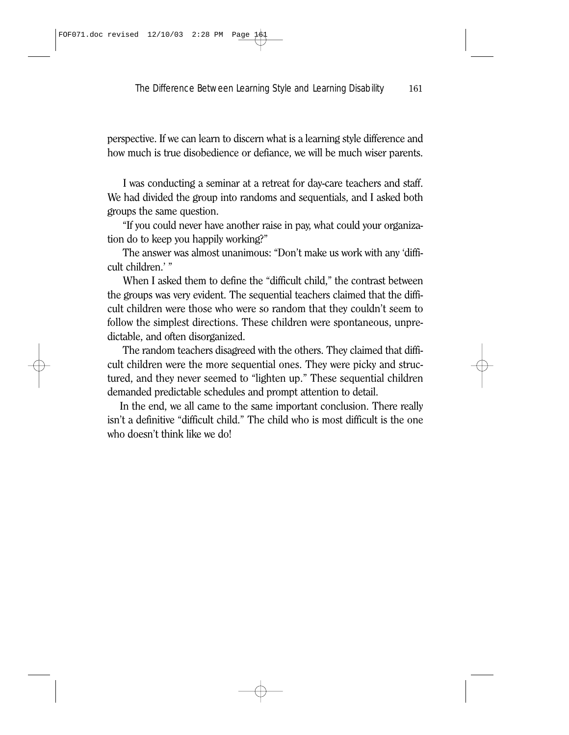perspective. If we can learn to discern what is a learning style difference and how much is true disobedience or defiance, we will be much wiser parents.

I was conducting a seminar at a retreat for day-care teachers and staff. We had divided the group into randoms and sequentials, and I asked both groups the same question.

"If you could never have another raise in pay, what could your organization do to keep you happily working?"

The answer was almost unanimous: "Don't make us work with any 'difficult children.' "

When I asked them to define the "difficult child," the contrast between the groups was very evident. The sequential teachers claimed that the difficult children were those who were so random that they couldn't seem to follow the simplest directions. These children were spontaneous, unpredictable, and often disorganized.

The random teachers disagreed with the others. They claimed that difficult children were the more sequential ones. They were picky and structured, and they never seemed to "lighten up." These sequential children demanded predictable schedules and prompt attention to detail.

In the end, we all came to the same important conclusion. There really isn't a definitive "difficult child." The child who is most difficult is the one who doesn't think like we do!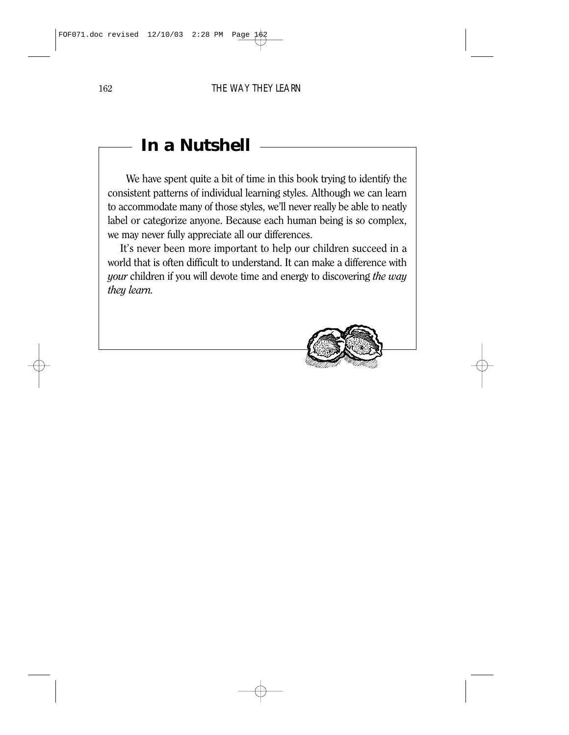# *In a Nutshell*

We have spent quite a bit of time in this book trying to identify the consistent patterns of individual learning styles. Although we can learn to accommodate many of those styles, we'll never really be able to neatly label or categorize anyone. Because each human being is so complex, we may never fully appreciate all our differences.

It's never been more important to help our children succeed in a world that is often difficult to understand. It can make a difference with your children if you will devote time and energy to discovering the way they learn.

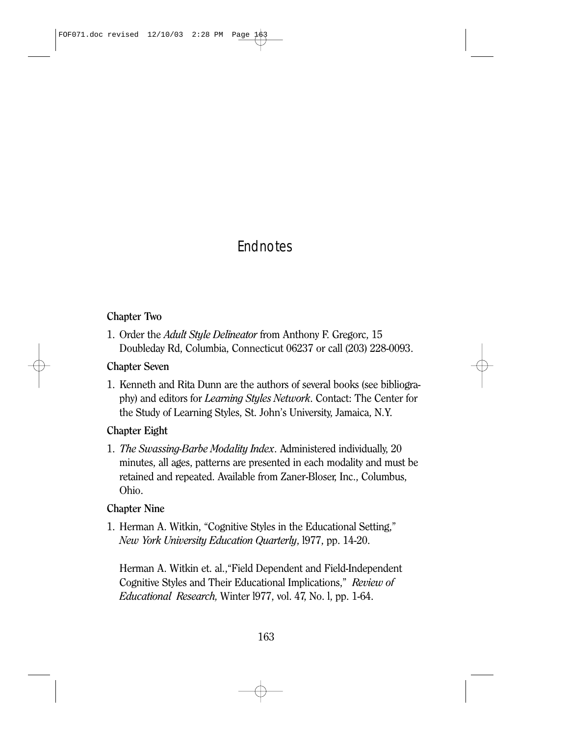# Endnotes

# Chapter Two

1. Order the Adult Style Delineator from Anthony F. Gregorc, 15 Doubleday Rd, Columbia, Connecticut 06237 or call (203) 228-0093.

## Chapter Seven

1. Kenneth and Rita Dunn are the authors of several books (see bibliography) and editors for Learning Styles Network. Contact: The Center for the Study of Learning Styles, St. John's University, Jamaica, N.Y.

# Chapter Eight

1. The Swassing-Barbe Modality Index. Administered individually, 20 minutes, all ages, patterns are presented in each modality and must be retained and repeated. Available from Zaner-Bloser, Inc., Columbus, Ohio.

## Chapter Nine

1. Herman A. Witkin, "Cognitive Styles in the Educational Setting," New York University Education Quarterly, l977, pp. 14-20.

Herman A. Witkin et. al.,"Field Dependent and Field-Independent Cognitive Styles and Their Educational Implications," Review of Educational Research, Winter l977, vol. 47, No. l, pp. 1-64.